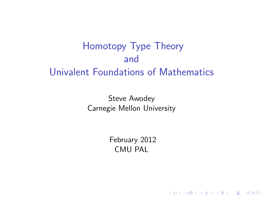# Homotopy Type Theory and Univalent Foundations of Mathematics

Steve Awodey Carnegie Mellon University

> February 2012 CMU PAL

> > K ロ ▶ K @ ▶ K 할 > K 할 > 1 할 > 1 이익어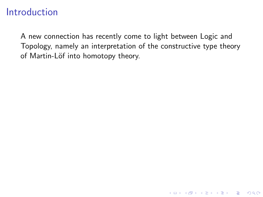A new connection has recently come to light between Logic and Topology, namely an interpretation of the constructive type theory of Martin-Löf into homotopy theory.

K ロ ▶ K @ ▶ K 할 > K 할 > 1 할 > 1 이익어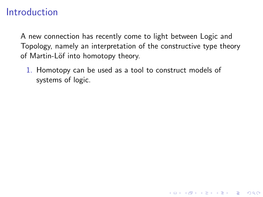A new connection has recently come to light between Logic and Topology, namely an interpretation of the constructive type theory of Martin-Löf into homotopy theory.

**KORK STRATER STRAKER** 

1. Homotopy can be used as a tool to construct models of systems of logic.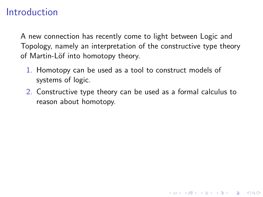A new connection has recently come to light between Logic and Topology, namely an interpretation of the constructive type theory of Martin-Löf into homotopy theory.

- 1. Homotopy can be used as a tool to construct models of systems of logic.
- 2. Constructive type theory can be used as a formal calculus to reason about homotopy.

**KORK ERKER ADE YOUR**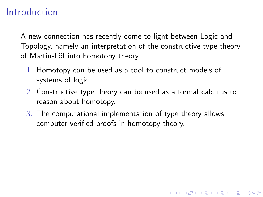A new connection has recently come to light between Logic and Topology, namely an interpretation of the constructive type theory of Martin-Löf into homotopy theory.

- 1. Homotopy can be used as a tool to construct models of systems of logic.
- 2. Constructive type theory can be used as a formal calculus to reason about homotopy.

**KORK ERKER ADE YOUR** 

3. The computational implementation of type theory allows computer verified proofs in homotopy theory.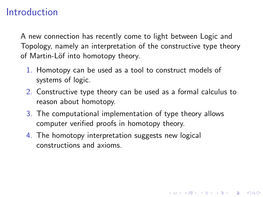A new connection has recently come to light between Logic and Topology, namely an interpretation of the constructive type theory of Martin-Löf into homotopy theory.

- 1. Homotopy can be used as a tool to construct models of systems of logic.
- 2. Constructive type theory can be used as a formal calculus to reason about homotopy.

**KORK ERKER ADE YOUR** 

- 3. The computational implementation of type theory allows computer verified proofs in homotopy theory.
- 4. The homotopy interpretation suggests new logical constructions and axioms.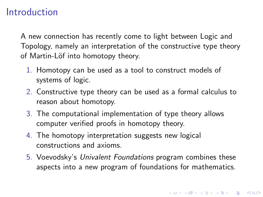A new connection has recently come to light between Logic and Topology, namely an interpretation of the constructive type theory of Martin-Löf into homotopy theory.

- 1. Homotopy can be used as a tool to construct models of systems of logic.
- 2. Constructive type theory can be used as a formal calculus to reason about homotopy.
- 3. The computational implementation of type theory allows computer verified proofs in homotopy theory.
- 4. The homotopy interpretation suggests new logical constructions and axioms.
- 5. Voevodsky's Univalent Foundations program combines these aspects into a new program of foundations for mathematics.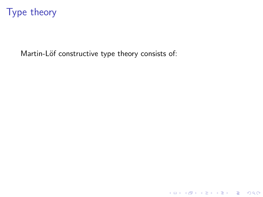Martin-Löf constructive type theory consists of:

K ロ ▶ K @ ▶ K 할 ▶ K 할 ▶ ... 할 ... 9 Q Q ·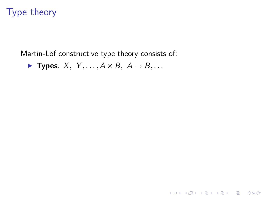Martin-Löf constructive type theory consists of:

K ロ ▶ K @ ▶ K 할 ▶ K 할 ▶ | 할 | © 9 Q @

▶ Types:  $X, Y, ..., A \times B, A \rightarrow B, ...$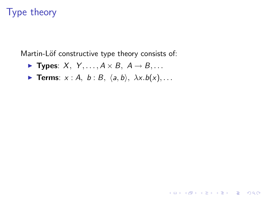Martin-Löf constructive type theory consists of:

- ▶ Types:  $X, Y, ..., A \times B, A \rightarrow B, ...$
- **Ferms**:  $x : A, b : B, \langle a, b \rangle, \lambda x.b(x), \ldots$

**KORK STRATER STRAKER**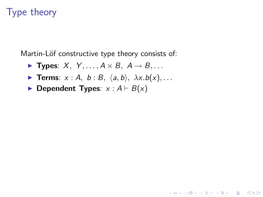Martin-Löf constructive type theory consists of:

- **Fypes:**  $X, Y, \ldots, A \times B, A \rightarrow B, \ldots$
- **Terms**:  $x : A$ ,  $b : B$ ,  $\langle a, b \rangle$ ,  $\lambda x.b(x)$ , ...

**KORK ERKER ADE YOUR** 

 $\blacktriangleright$  Dependent Types:  $x : A \vdash B(x)$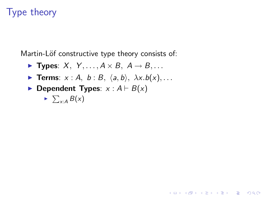Martin-Löf constructive type theory consists of:

- **Fypes:**  $X, Y, \ldots, A \times B, A \rightarrow B, \ldots$
- **Terms**:  $x : A$ ,  $b : B$ ,  $\langle a, b \rangle$ ,  $\lambda x.b(x)$ , ...

**KORK ERKER ADE YOUR** 

 $\blacktriangleright$  Dependent Types:  $x : A \vdash B(x)$ 

$$
\triangleright \sum_{x:A} B(x)
$$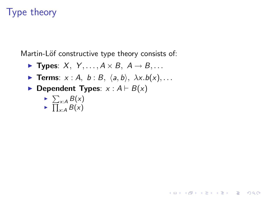Martin-Löf constructive type theory consists of:

- **Fypes:**  $X, Y, \ldots, A \times B, A \rightarrow B, \ldots$
- **Terms**:  $x : A$ ,  $b : B$ ,  $\langle a, b \rangle$ ,  $\lambda x.b(x)$ , ...

**KORK ERKER ADE YOUR** 

 $\blacktriangleright$  Dependent Types:  $x : A \vdash B(x)$ 

$$
\rightarrow \frac{\sum_{x:A} B(x)}{\prod_{x:A} B(x)}
$$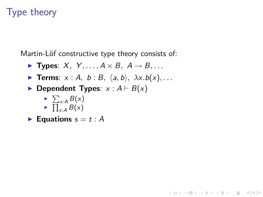Martin-Löf constructive type theory consists of:

- **Types:**  $X, Y, \ldots, A \times B, A \rightarrow B, \ldots$
- **Ferms**:  $x : A, b : B, \langle a, b \rangle, \lambda x.b(x), \ldots$

**KORK ERKER ADE YOUR** 

 $\blacktriangleright$  Dependent Types:  $x : A \vdash B(x)$ 

$$
\sum_{x:A} B(x)
$$
  
 
$$
\prod_{x:A} B(x)
$$

**Equations**  $s = t : A$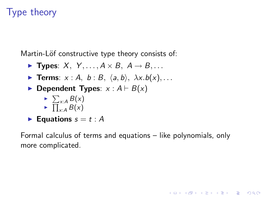Martin-Löf constructive type theory consists of:

- **Types:**  $X, Y, \ldots, A \times B, A \rightarrow B, \ldots$
- **Terms**:  $x : A$ ,  $b : B$ ,  $\langle a, b \rangle$ ,  $\lambda x.b(x)$ , ...
- **Dependent Types:**  $x : A \vdash B(x)$ 
	- $\blacktriangleright \sum_{x:A} B(x)$  $\blacktriangleright \prod_{x:A} B(x)$
- Equations  $s = t : A$

Formal calculus of terms and equations – like polynomials, only more complicated.

**KORK ERKER ADE YOUR**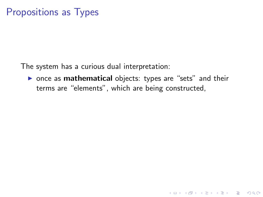The system has a curious dual interpretation:

 $\triangleright$  once as **mathematical** objects: types are "sets" and their terms are "elements", which are being constructed,

K ロ ▶ K @ ▶ K 할 > K 할 > 1 할 > 1 이익어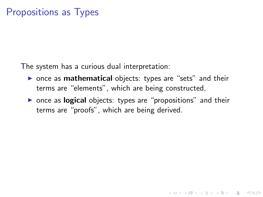The system has a curious dual interpretation:

- $\triangleright$  once as **mathematical** objects: types are "sets" and their terms are "elements", which are being constructed,
- $\triangleright$  once as **logical** objects: types are "propositions" and their terms are "proofs", which are being derived.

**KORK ERKER ADE YOUR**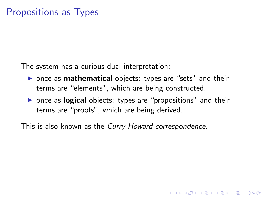The system has a curious dual interpretation:

- $\triangleright$  once as **mathematical** objects: types are "sets" and their terms are "elements", which are being constructed,
- $\triangleright$  once as **logical** objects: types are "propositions" and their terms are "proofs", which are being derived.

**KORK ERKER ADE YOUR** 

This is also known as the Curry-Howard correspondence.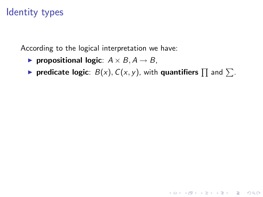## Identity types

According to the logical interpretation we have:

- ▶ propositional logic:  $A \times B$ ,  $A \rightarrow B$ ,
- **predicate logic**:  $B(x)$ ,  $C(x, y)$ , with **quantifiers**  $\prod$  and  $\sum$ .

**K ロ ▶ K @ ▶ K 할 X X 할 X 및 할 X X Q Q O**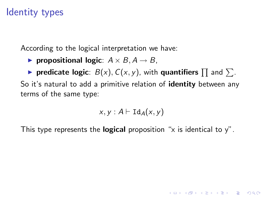## Identity types

According to the logical interpretation we have:

- ▶ propositional logic:  $A \times B$ ,  $A \rightarrow B$ ,
- **predicate logic**:  $B(x)$ ,  $C(x, y)$ , with **quantifiers**  $\prod$  and  $\sum$ . So it's natural to add a primitive relation of **identity** between any terms of the same type:

$$
x, y : A \vdash \mathtt{Id}_A(x, y)
$$

**KORKAR KERKER E VOOR** 

This type represents the **logical** proposition "x is identical to  $y$ ".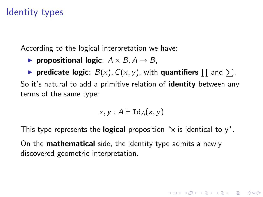## Identity types

According to the logical interpretation we have:

▶ propositional logic:  $A \times B$ ,  $A \rightarrow B$ ,

**• predicate logic**:  $B(x)$ ,  $C(x, y)$ , with **quantifiers**  $\prod$  and  $\sum$ . So it's natural to add a primitive relation of **identity** between any terms of the same type:

$$
x, y : A \vdash \text{Id}_A(x, y)
$$

**KORKAR KERKER E VOOR** 

This type represents the **logical** proposition "x is identical to  $y$ ".

On the mathematical side, the identity type admits a newly discovered geometric interpretation.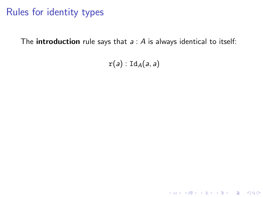## Rules for identity types

The **introduction** rule says that  $a : A$  is always identical to itself:

 $r(a)$ : Id<sub>A</sub> $(a, a)$ 

K ロ K K (P) K (E) K (E) X (E) X (P) K (P)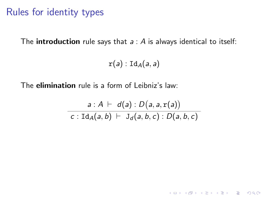## Rules for identity types

The **introduction** rule says that  $a : A$  is always identical to itself:

 $r(a)$  : Id<sub>A</sub> $(a, a)$ 

The **elimination** rule is a form of Leibniz's law:

$$
\frac{a:A \vdash d(a):D(a,a,\mathbf{r}(a))}{c:\text{Id}_A(a,b) \vdash \mathsf{J}_d(a,b,c):D(a,b,c)}
$$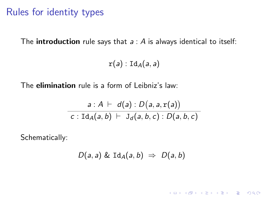#### Rules for identity types

The **introduction** rule says that  $a : A$  is always identical to itself:

 $r(a)$ : Id<sub>A</sub> $(a, a)$ 

The **elimination** rule is a form of Leibniz's law:

$$
\frac{a:A \vdash d(a):D(a,a,\mathbf{r}(a))}{c:\text{Id}_{A}(a,b) \vdash \mathsf{J}_{d}(a,b,c):D(a,b,c)}
$$

Schematically:

$$
D(a,a) \& \mathrm{Id}_A(a,b) \Rightarrow D(a,b)
$$

**K ロ ▶ K @ ▶ K 할 X X 할 X 및 할 X X Q Q O**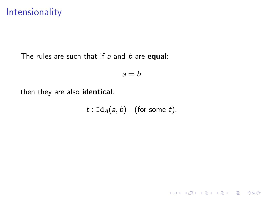#### Intensionality

The rules are such that if  $a$  and  $b$  are equal:

$$
a = b
$$

then they are also identical:

$$
t: \mathrm{Id}_A(a,b) \quad \text{(for some } t\text{)}.
$$

K ロ K K (P) K (E) K (E) X (E) X (P) K (P)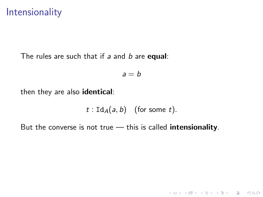#### Intensionality

The rules are such that if  $a$  and  $b$  are equal:

$$
a = b
$$

then they are also identical:

$$
t: \mathrm{Id}_A(a, b) \quad \text{(for some } t\text{)}.
$$

K ロ ▶ K @ ▶ K 할 ▶ K 할 ▶ | 할 | © 9 Q @

But the converse is not true  $-$  this is called intensionality.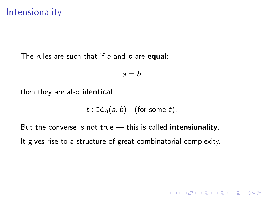#### Intensionality

The rules are such that if  $a$  and  $b$  are **equal**:

$$
a = b
$$

then they are also identical:

$$
t: \mathrm{Id}_A(a,b) \quad \text{(for some } t\text{)}.
$$

K ロ ▶ K @ ▶ K 할 > K 할 > 1 할 > 1 이익어

But the converse is not true  $-$  this is called intensionality. It gives rise to a structure of great combinatorial complexity.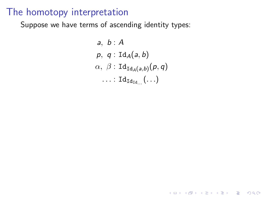Suppose we have terms of ascending identity types:

a, b: A  
\np, q: 
$$
Id_A(a, b)
$$
  
\n $\alpha$ ,  $\beta$ :  $Id_{Id_A(a,b)}(p,q)$   
\n...:  $Id_{Id_{Id...}}(...)$ 

K ロ ▶ K @ ▶ K 할 ▶ K 할 ▶ | 할 | ⊙Q @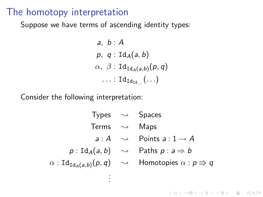Suppose we have terms of ascending identity types:

a, b: A  
\np, q: 
$$
Id_A(a, b)
$$
  
\n $\alpha$ ,  $\beta$ :  $Id_{Id_A(a,b)}(p,q)$   
\n...:  $Id_{Id_{Id...}}(...)$ 

Consider the following interpretation:

| Typees                                                            | $\rightsquigarrow$                    | Spaces |
|-------------------------------------------------------------------|---------------------------------------|--------|
| Terms                                                             | $\rightsquigarrow$                    | Maps   |
| $a : A \rightsquigarrow$                                          | Points $a : 1 \rightarrow A$          |        |
| $p : \text{Id}_{A}(a, b) \rightsquigarrow$                        | Paths $p : a \Rightarrow b$           |        |
| $\alpha : \text{Id}_{\text{Id}_{A}(a, b)}(p, q) \rightsquigarrow$ | Homotopies $\alpha : p \Rightarrow q$ |        |
| ...                                                               |                                       |        |

**K ロ ▶ K @ ▶ K 할 X X 할 X 및 할 X X Q Q O**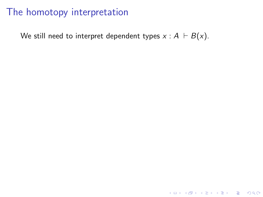We still need to interpret dependent types  $x : A \vdash B(x)$ .

K ロ ▶ K @ ▶ K 할 ▶ K 할 ▶ | 할 | ⊙Q @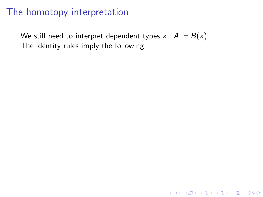We still need to interpret dependent types  $x : A \vdash B(x)$ . The identity rules imply the following:

K ロ ▶ K @ ▶ K 할 > K 할 > 1 할 > 1 이익어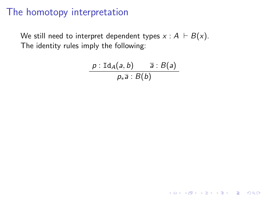We still need to interpret dependent types  $x : A \vdash B(x)$ . The identity rules imply the following:

$$
\frac{p:\mathrm{Id}_A(a,b)}{p_*\overline{a}:B(b)}
$$

**K ロ ▶ K @ ▶ K 할 X X 할 X 및 할 X X Q Q O**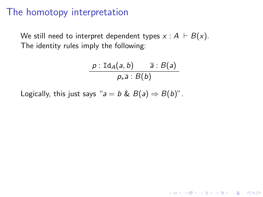We still need to interpret dependent types  $x : A \vdash B(x)$ . The identity rules imply the following:

$$
\frac{p:\mathrm{Id}_A(a,b)}{p_*\overline{a}:B(b)}
$$

**KORK ERKER ADE YOUR** 

Logically, this just says " $a = b \& B(a) \Rightarrow B(b)$ ".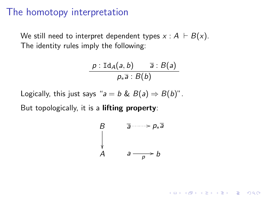We still need to interpret dependent types  $x : A \vdash B(x)$ . The identity rules imply the following:

$$
\frac{p:\mathrm{Id}_A(a,b)}{p_*\overline{a}:B(b)}
$$

Logically, this just says " $a = b \& B(a) \Rightarrow B(b)$ ".

But topologically, it is a lifting property:

$$
\begin{array}{ccc}\nB & \overline{a} \xrightarrow{p_{*}a} \\
\downarrow & & \\
A & a \xrightarrow{p} b\n\end{array}
$$

**KORK ERKER ADE YOUR**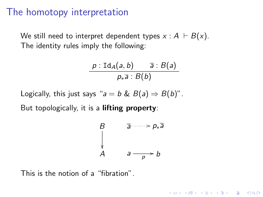We still need to interpret dependent types  $x : A \vdash B(x)$ . The identity rules imply the following:

$$
\frac{p:\mathrm{Id}_A(a,b)}{p_*\overline{a}:B(b)}
$$

Logically, this just says " $a = b \& B(a) \Rightarrow B(b)$ ".

But topologically, it is a lifting property:

$$
\begin{array}{ccc}\nB & \overline{a} & \xrightarrow{\neg} p_* \overline{a} \\
\downarrow & & \\
A & a & \xrightarrow{\quad} b\n\end{array}
$$

**KORK ERKER ADE YOUR** 

This is the notion of a "fibration".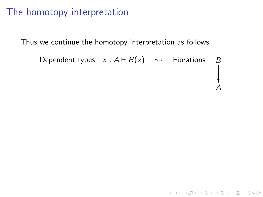Thus we continue the homotopy interpretation as follows:

Dependent types 
$$
x : A \vdash B(x) \rightarrow
$$
 *Fibrations*  $B$ 

\n\n $\downarrow$ \n

\n\n $\downarrow$ \n

\n\n $\downarrow$ \n

\n\n $\downarrow$ \n

\n\n $\downarrow$ \n

\n\n $\downarrow$ \n

\n\n $\downarrow$ \n

\n\n $\downarrow$ \n

\n\n $\downarrow$ \n

\n\n $\downarrow$ \n

\n\n $\downarrow$ \n

\n\n $\downarrow$ \n

\n\n $\downarrow$ \n

\n\n $\downarrow$ \n

\n\n $\downarrow$ \n

\n\n $\downarrow$ \n

\n\n $\downarrow$ \n

\n\n $\downarrow$ \n

\n\n $\downarrow$ \n

\n\n $\downarrow$ \n

\n\n $\downarrow$ \n

\n\n $\downarrow$ \n

\n\n $\downarrow$ \n

\n\n $\downarrow$ \n

\n\n $\downarrow$ \n

\n\n $\downarrow$ \n

\n\n $\downarrow$ \n

\n\n $\downarrow$ \n

\n\n $\downarrow$ \n

\n\n $\downarrow$ \n

\n\n $\downarrow$ \n

\n\n $\downarrow$ \n

\n\n $\downarrow$ \n

\n\n $\downarrow$ \n

\n\n $\downarrow$ \n

\n\n $\downarrow$ \n

\n\n $\downarrow$ \n

\n\n $\downarrow$ \n

K ロ K K (P) K (E) K (E) X (E) X (P) K (P)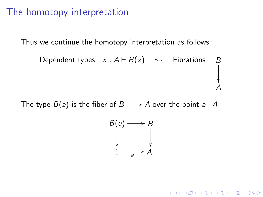Thus we continue the homotopy interpretation as follows:

Dependent types 
$$
x : A \vdash B(x) \rightarrow
$$
 *Fibrations*  $B$ 

\n $\downarrow$ 

\n $A$ 

The type  $B(a)$  is the fiber of  $B \longrightarrow A$  over the point  $a : A$ 



**K ロ ▶ K @ ▶ K 할 X X 할 X → 할 X → 9 Q Q ^**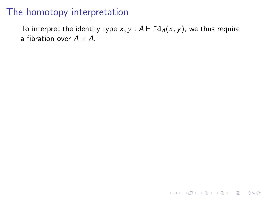To interpret the identity type  $x, y : A \vdash \text{Id}_A(x, y)$ , we thus require a fibration over  $A \times A$ .

**K ロ ▶ K @ ▶ K 할 X X 할 X 및 할 X X Q Q O \***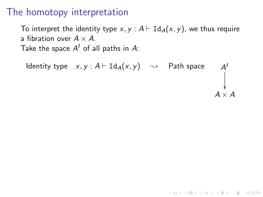To interpret the identity type x,  $y : A \vdash \text{Id}_A(x, y)$ , we thus require a fibration over  $A \times A$ . Take the space  $A^I$  of all paths in  $A$ :

Identity type  $x, y : A \vdash \text{Id}_A(x, y) \sim$  Path space I ľ  $\bigvee_{A \times A}$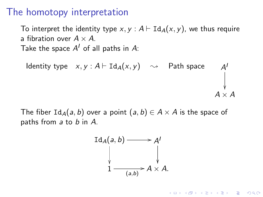To interpret the identity type x,  $y : A \vdash \text{Id}_A(x, y)$ , we thus require a fibration over  $A \times A$ . Take the space  $A^I$  of all paths in  $A$ :

Identity type  $x, y : A \vdash \text{Id}_A(x, y) \sim$  Path space I ľ  $\begin{array}{c}\n\downarrow \\
\downarrow \\
A \times A\n\end{array}$ 

The fiber  $Id_A(a, b)$  over a point  $(a, b) \in A \times A$  is the space of paths from a to b in A.

$$
\operatorname{Id}_{A}(a, b) \longrightarrow A'
$$
  
\n
$$
\downarrow \qquad \qquad \downarrow
$$
  
\n
$$
1 \longrightarrow A \times A.
$$

**KORKARA KERKER SAGA**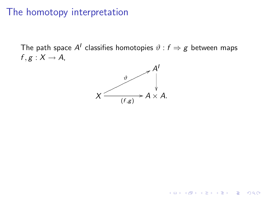The path space  $A^I$  classifies homotopies  $\vartheta : f \Rightarrow g$  between maps  $f, g: X \rightarrow A$ ,



K ロ ▶ K @ ▶ K 할 ▶ K 할 ▶ 이 할 → 9 Q @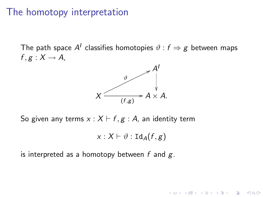The path space  $A^I$  classifies homotopies  $\vartheta : f \Rightarrow g$  between maps  $f, g: X \rightarrow A$ ,



So given any terms  $x : X \vdash f, g : A$ , an identity term

$$
x:X\vdash \vartheta:\mathtt{Id}_A(f,g)
$$

**KORK STRAIN A BAR SHOP** 

is interpreted as a homotopy between  $f$  and  $g$ .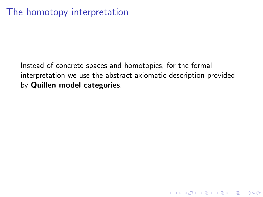K ロ ▶ K @ ▶ K 할 > K 할 > 1 할 > 1 이익어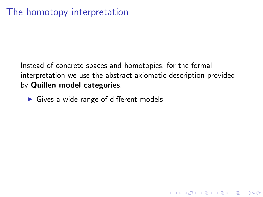**K ロ ▶ K @ ▶ K 할 X X 할 X → 할 X → 9 Q Q ^** 

 $\triangleright$  Gives a wide range of different models.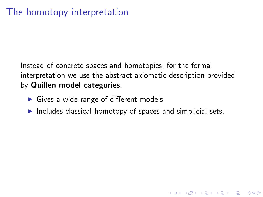- $\blacktriangleright$  Gives a wide range of different models.
- $\blacktriangleright$  Includes classical homotopy of spaces and simplicial sets.

4 D > 4 P + 4 B + 4 B + B + 9 Q O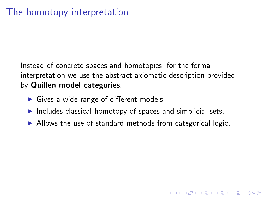- $\triangleright$  Gives a wide range of different models.
- $\blacktriangleright$  Includes classical homotopy of spaces and simplicial sets.
- $\triangleright$  Allows the use of standard methods from categorical logic.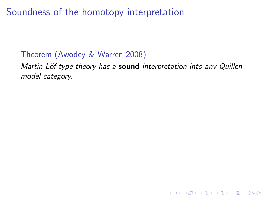#### Theorem (Awodey & Warren 2008)

Martin-Löf type theory has a sound interpretation into any Quillen model category.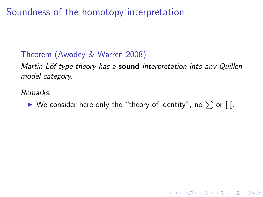#### Theorem (Awodey & Warren 2008)

Martin-Löf type theory has a sound interpretation into any Quillen model category.

Remarks.

 $\blacktriangleright$  We consider here only the "theory of identity", no  $\sum$  or  $\prod$ .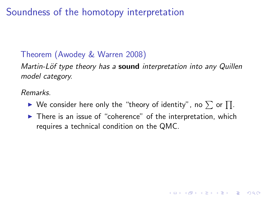#### Theorem (Awodey & Warren 2008)

Martin-Löf type theory has a sound interpretation into any Quillen model category.

Remarks.

- $\blacktriangleright$  We consider here only the "theory of identity", no  $\sum$  or  $\prod$ .
- $\blacktriangleright$  There is an issue of "coherence" of the interpretation, which requires a technical condition on the QMC.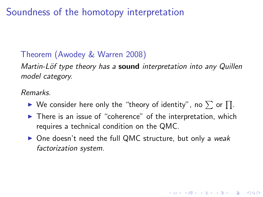#### Theorem (Awodey & Warren 2008)

Martin-Löf type theory has a sound interpretation into any Quillen model category.

Remarks.

- $\blacktriangleright$  We consider here only the "theory of identity", no  $\sum$  or  $\prod$ .
- $\blacktriangleright$  There is an issue of "coherence" of the interpretation, which requires a technical condition on the QMC.
- $\triangleright$  One doesn't need the full QMC structure, but only a weak factorization system.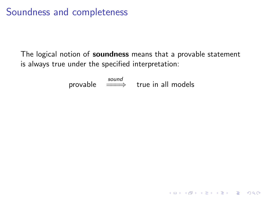## Soundness and completeness

The logical notion of soundness means that a provable statement is always true under the specified interpretation:

 $\text{provable} \quad \overset{\text{sound}}{\Longrightarrow} \quad \text{true in all models}$ 

**K ロ ▶ K @ ▶ K 할 X X 할 X → 할 X → 9 Q Q ^**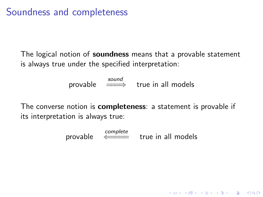## Soundness and completeness

The logical notion of **soundness** means that a provable statement is always true under the specified interpretation:

 $\text{provable} \quad \overset{\text{sound}}{\Longrightarrow} \quad \text{true in all models}$ 

The converse notion is **completeness**: a statement is provable if its interpretation is always true:

provable  $\xleftarrow{\text{complete}}$  true in all models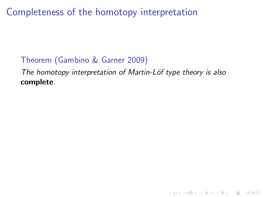Completeness of the homotopy interpretation

#### Theorem (Gambino & Garner 2009)

The homotopy interpretation of Martin-Löf type theory is also complete.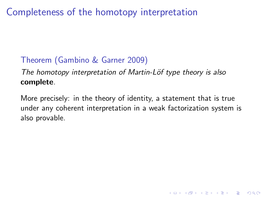# Completeness of the homotopy interpretation

## Theorem (Gambino & Garner 2009)

The homotopy interpretation of Martin-Löf type theory is also complete.

More precisely: in the theory of identity, a statement that is true under any coherent interpretation in a weak factorization system is also provable.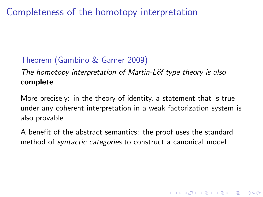# Completeness of the homotopy interpretation

### Theorem (Gambino & Garner 2009)

The homotopy interpretation of Martin-Löf type theory is also complete.

More precisely: in the theory of identity, a statement that is true under any coherent interpretation in a weak factorization system is also provable.

A benefit of the abstract semantics: the proof uses the standard method of syntactic categories to construct a canonical model.

4 D > 4 P + 4 B + 4 B + B + 9 Q O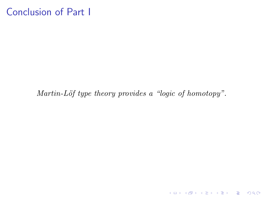## Conclusion of Part I

Martin-Löf type theory provides a "logic of homotopy".

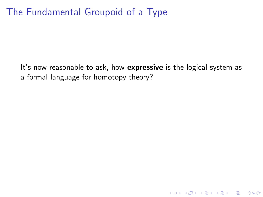## The Fundamental Groupoid of a Type

It's now reasonable to ask, how expressive is the logical system as a formal language for homotopy theory?

K ロ ▶ K @ ▶ K 할 > K 할 > 1 할 > 1 이익어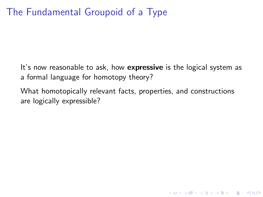# The Fundamental Groupoid of a Type

It's now reasonable to ask, how expressive is the logical system as a formal language for homotopy theory?

What homotopically relevant facts, properties, and constructions are logically expressible?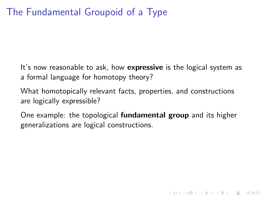## The Fundamental Groupoid of a Type

It's now reasonable to ask, how expressive is the logical system as a formal language for homotopy theory?

What homotopically relevant facts, properties, and constructions are logically expressible?

One example: the topological fundamental group and its higher generalizations are logical constructions.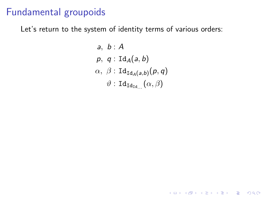Let's return to the system of identity terms of various orders:

a, b: A  
\np, q: 
$$
Id_A(a, b)
$$
  
\n $\alpha$ ,  $\beta$ :  $Id_{Id_A(a,b)}(p,q)$   
\n $\vartheta$ :  $Id_{Id_{Id...}}(\alpha, \beta)$ 

K ロ ▶ K @ ▶ K 할 ▶ K 할 ▶ | 할 | ⊙Q @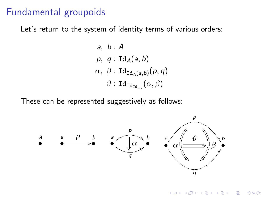Let's return to the system of identity terms of various orders:

a, b: A  
\np, q: Id<sub>A</sub>(a, b)  
\n
$$
\alpha
$$
,  $\beta$ : Id<sub>Id<sub>A</sub>(a,b)</sub>(p,q)  
\n $\vartheta$ : Id<sub>Id<sub>Id</sub></sub> ( $\alpha$ ,  $\beta$ )

These can be represented suggestively as follows:



 $2990$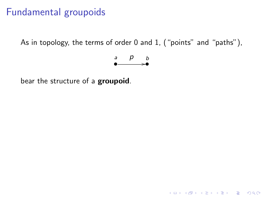As in topology, the terms of order 0 and 1, ("points" and "paths"),

$$
\begin{array}{cc} a & p & b \\ \bullet & \xrightarrow{\bullet} & \bullet \end{array}
$$

K ロ ▶ K @ ▶ K 할 ▶ K 할 ▶ | 할 | © 9 Q @

bear the structure of a groupoid.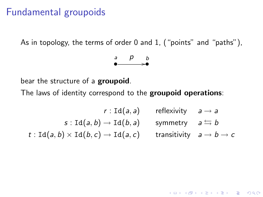As in topology, the terms of order 0 and 1, ("points" and "paths"),



bear the structure of a groupoid.

The laws of identity correspond to the groupoid operations:

$$
r: \mathrm{Id}(a, a) \qquad \text{reflexivity} \qquad a \to a
$$
\n
$$
s: \mathrm{Id}(a, b) \to \mathrm{Id}(b, a) \qquad \text{symmetry} \qquad a \leftrightarrows b
$$
\n
$$
t: \mathrm{Id}(a, b) \times \mathrm{Id}(b, c) \to \mathrm{Id}(a, c) \qquad \text{transitivity} \qquad a \to b \to c
$$

K ロ ▶ K @ ▶ K 할 > K 할 > 1 할 > 1 이익어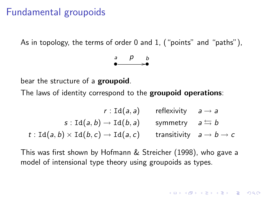As in topology, the terms of order 0 and 1, ("points" and "paths"),



bear the structure of a **groupoid**.

The laws of identity correspond to the groupoid operations:

$$
r: \text{Id}(a, a) \qquad \text{reflexivity} \qquad a \to a
$$
\n
$$
s: \text{Id}(a, b) \to \text{Id}(b, a) \qquad \text{symmetry} \qquad a \xrightarrow{\leftarrow} b
$$
\n
$$
t: \text{Id}(a, b) \times \text{Id}(b, c) \to \text{Id}(a, c) \qquad \text{transitivity} \qquad a \to b \to c
$$

This was first shown by Hofmann & Streicher (1998), who gave a model of intensional type theory using groupoids as types.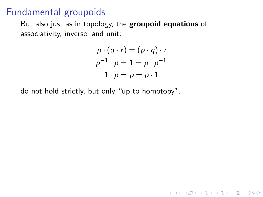But also just as in topology, the groupoid equations of associativity, inverse, and unit:

$$
p \cdot (q \cdot r) = (p \cdot q) \cdot r
$$

$$
p^{-1} \cdot p = 1 = p \cdot p^{-1}
$$

$$
1 \cdot p = p = p \cdot 1
$$

**K ロ ▶ K @ ▶ K 할 X X 할 X → 할 X → 9 Q Q ^** 

do not hold strictly, but only "up to homotopy".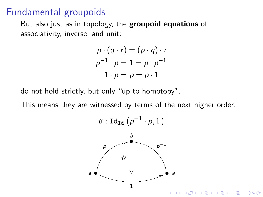But also just as in topology, the **groupoid equations** of associativity, inverse, and unit:

$$
p \cdot (q \cdot r) = (p \cdot q) \cdot r
$$

$$
p^{-1} \cdot p = 1 = p \cdot p^{-1}
$$

$$
1 \cdot p = p = p \cdot 1
$$

do not hold strictly, but only "up to homotopy".

This means they are witnessed by terms of the next higher order:

$$
\vartheta:\mathtt{Id}_{\mathtt{Id}}\left(p^{-1}\cdot p,1\right)
$$

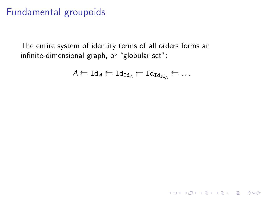The entire system of identity terms of all orders forms an infinite-dimensional graph, or "globular set":

$$
A \leftarrow \text{Id}_A \leftarrow \text{Id}_{\text{Id}_A} \leftarrow \text{Id}_{\text{Id}_{\text{Id}_A}} \leftarrow \ldots
$$

KO K K Ø K K I K I LA LI I LA K DR OK LI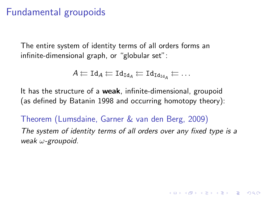The entire system of identity terms of all orders forms an infinite-dimensional graph, or "globular set":

$$
A \leftleftarrows \text{Id}_A \leftarrow \text{Id}_{\text{Id}_A} \leftarrow \text{Id}_{\text{Id}_{\text{Id}_A}} \leftarrow \ldots
$$

It has the structure of a weak, infinite-dimensional, groupoid (as defined by Batanin 1998 and occurring homotopy theory):

Theorem (Lumsdaine, Garner & van den Berg, 2009) The system of identity terms of all orders over any fixed type is a weak ω-groupoid.

**KORKAR KERKER E VOOR**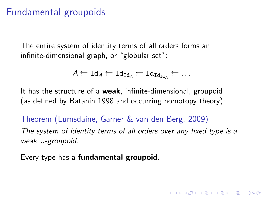The entire system of identity terms of all orders forms an infinite-dimensional graph, or "globular set":

$$
A \leftleftarrows \text{Id}_A \leftarrow \text{Id}_{\text{Id}_A} \leftarrow \text{Id}_{\text{Id}_{\text{Id}_A}} \leftarrow \ldots
$$

It has the structure of a weak, infinite-dimensional, groupoid (as defined by Batanin 1998 and occurring homotopy theory):

Theorem (Lumsdaine, Garner & van den Berg, 2009) The system of identity terms of all orders over any fixed type is a weak ω-groupoid.

**KORKAR KERKER E VOOR** 

Every type has a **fundamental groupoid**.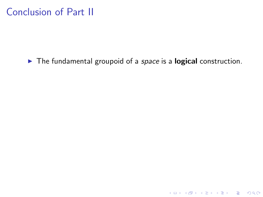## Conclusion of Part II

 $\blacktriangleright$  The fundamental groupoid of a space is a logical construction.

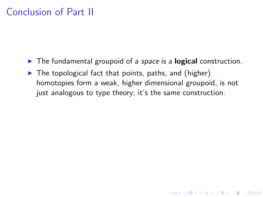## Conclusion of Part II

- $\blacktriangleright$  The fundamental groupoid of a *space* is a **logical** construction.
- $\triangleright$  The topological fact that points, paths, and (higher) homotopies form a weak, higher dimensional groupoid, is not just analogous to type theory; it's the same construction.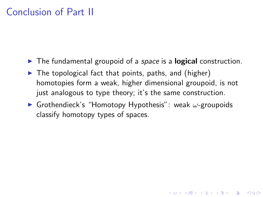## Conclusion of Part II

- $\blacktriangleright$  The fundamental groupoid of a *space* is a **logical** construction.
- $\blacktriangleright$  The topological fact that points, paths, and (higher) homotopies form a weak, higher dimensional groupoid, is not just analogous to type theory; it's the same construction.
- **I** Grothendieck's "Homotopy Hypothesis": weak  $\omega$ -groupoids classify homotopy types of spaces.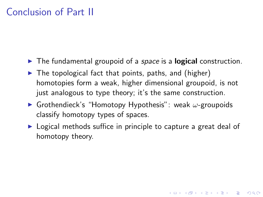## Conclusion of Part II

- $\blacktriangleright$  The fundamental groupoid of a *space* is a **logical** construction.
- $\triangleright$  The topological fact that points, paths, and (higher) homotopies form a weak, higher dimensional groupoid, is not just analogous to type theory; it's the same construction.
- **F** Grothendieck's "Homotopy Hypothesis": weak  $\omega$ -groupoids classify homotopy types of spaces.
- $\triangleright$  Logical methods suffice in principle to capture a great deal of homotopy theory.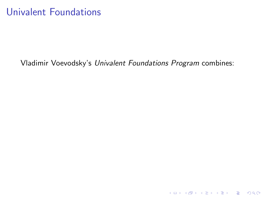### Univalent Foundations

#### Vladimir Voevodsky's Univalent Foundations Program combines:

K ロ ▶ K @ ▶ K 할 ▶ K 할 ▶ | 할 | ⊙Q @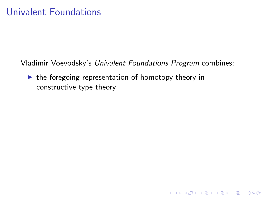Vladimir Voevodsky's Univalent Foundations Program combines:

K ロ ▶ K @ ▶ K 할 > K 할 > 1 할 > 1 이익어

 $\blacktriangleright$  the foregoing representation of homotopy theory in constructive type theory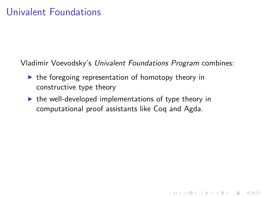Vladimir Voevodsky's Univalent Foundations Program combines:

- $\triangleright$  the foregoing representation of homotopy theory in constructive type theory
- $\triangleright$  the well-developed implementations of type theory in computational proof assistants like Coq and Agda.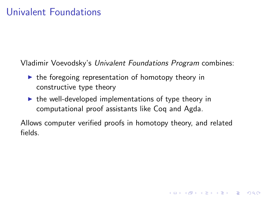Vladimir Voevodsky's Univalent Foundations Program combines:

- $\triangleright$  the foregoing representation of homotopy theory in constructive type theory
- $\triangleright$  the well-developed implementations of type theory in computational proof assistants like Coq and Agda.

Allows computer verified proofs in homotopy theory, and related fields.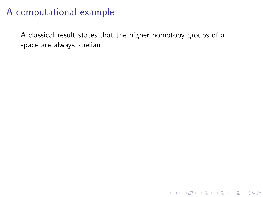A classical result states that the higher homotopy groups of a space are always abelian.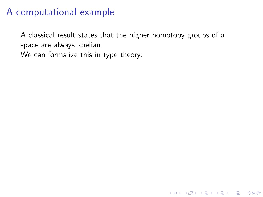A classical result states that the higher homotopy groups of a space are always abelian.

K ロ ▶ K @ ▶ K 할 > K 할 > 1 할 > 1 이익어

We can formalize this in type theory: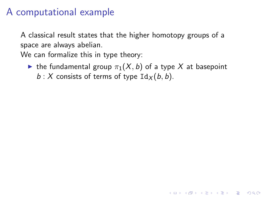A classical result states that the higher homotopy groups of a space are always abelian.

We can formalize this in type theory:

In the fundamental group  $\pi_1(X, b)$  of a type X at basepoint  $b: X$  consists of terms of type  $\text{Id}_X(b, b)$ .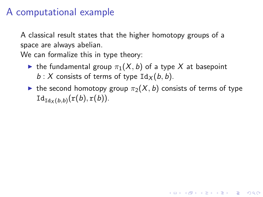A classical result states that the higher homotopy groups of a space are always abelian.

We can formalize this in type theory:

- In the fundamental group  $\pi_1(X, b)$  of a type X at basepoint  $b: X$  consists of terms of type  $\text{Id}_X(b, b)$ .
- In the second homotopy group  $\pi_2(X, b)$  consists of terms of type  $\mathrm{Id}_{\mathrm{Id}_X (b,b)}(\mathrm{r}(b),\mathrm{r}(b)).$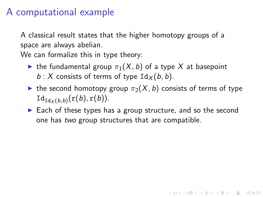A classical result states that the higher homotopy groups of a space are always abelian.

We can formalize this in type theory:

- In the fundamental group  $\pi_1(X, b)$  of a type X at basepoint  $b: X$  consists of terms of type  $\text{Id}_X(b, b)$ .
- In the second homotopy group  $\pi_2(X, b)$  consists of terms of type  $\mathrm{Id}_{\mathrm{Id}_X (b,b)}(\mathrm{r}(b),\mathrm{r}(b)).$
- $\triangleright$  Each of these types has a group structure, and so the second one has two group structures that are compatible.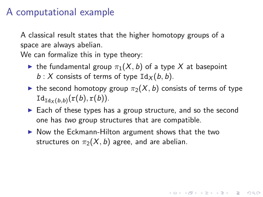A classical result states that the higher homotopy groups of a space are always abelian.

We can formalize this in type theory:

- In the fundamental group  $\pi_1(X, b)$  of a type X at basepoint  $b: X$  consists of terms of type  $\text{Id}_X(b, b)$ .
- In the second homotopy group  $\pi_2(X, b)$  consists of terms of type  $\mathrm{Id}_{\mathrm{Id}_X (b,b)}(\mathrm{r}(b),\mathrm{r}(b)).$
- $\triangleright$  Each of these types has a group structure, and so the second one has two group structures that are compatible.

**KORKAR KERKER E VOOR** 

 $\triangleright$  Now the Eckmann-Hilton argument shows that the two structures on  $\pi_2(X, b)$  agree, and are abelian.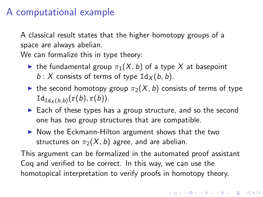A classical result states that the higher homotopy groups of a space are always abelian.

We can formalize this in type theory:

- In the fundamental group  $\pi_1(X, b)$  of a type X at basepoint  $b: X$  consists of terms of type  $\text{Id}_X(b, b)$ .
- In the second homotopy group  $\pi_2(X, b)$  consists of terms of type  $\mathrm{Id}_{\mathrm{Id}_X (b,b)}(\mathrm{r}(b),\mathrm{r}(b)).$
- $\triangleright$  Each of these types has a group structure, and so the second one has two group structures that are compatible.
- $\triangleright$  Now the Eckmann-Hilton argument shows that the two structures on  $\pi_2(X, b)$  agree, and are abelian.

This argument can be formalized in the automated proof assistant Coq and verified to be correct. In this way, we can use the homotopical interpretation to verify proofs in homotopy theory.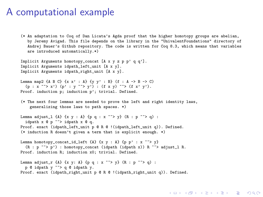(\* An adaptation to Coq of Dan Licata's Agda proof that the higher homotopy groups are abelian, by Jeremy Avigad. This file depends on the library in the "UnivalentFoundations" directory of Andrej Bauer's Github repository. The code is written for Coq 8.3, which means that variables are introduced automatically.\*)

**KORK ERKER ADE YOUR** 

```
Implicit Arguments homotopy_concat [A x y z p p' q q'].
Implicit Arguments idpath_left_unit [A x y].
Implicit Arguments idpath right unit [A x y].
```

```
Lemma map2 \{A \ B \ C\} \{x \ x' : A\} \{y \ y' : B\} (f : A \rightarrow B \rightarrow C)(p : x \rightarrow x') (p' : y \rightarrow y'): (f x y) \rightarrow (f x' y').
Proof. induction p: induction p': trivial. Defined.
```
(\* The next four lemmas are needed to prove the left and right identity laws, generalizing those laws to path spaces. \*)

```
Lemma adjust_1 {A} {x y : A} {p q : x \tilde{f} y} (R : p \tilde{f} y ) :
  idpath x @ p ~~> idpath x @ q.
Proof. exact (idpath_left_unit p @ R @ !(idpath_left_unit q)). Defined.
(* induction R doesn't given a term that is explicit enough. *)
```

```
Lemma homotopy concat_id_left {A} {x y : A} {p p' : x ~~> y}
  (R : p \nightharpoonup p') : homotopy_concat (idpath (idpath x)) R \sim > adjust_1 R.
Proof. induction R; induction x0; trivial. Defined.
```

```
Lemma adjust_r {A} {x y: A} {p q : x \tilde{f} y} (R : p \tilde{f} ) :
  p @ idpath y ~~> q @ idpath y.
Proof. exact (idpath_right_unit p @ R @ !(idpath_right_unit q)). Defined.
```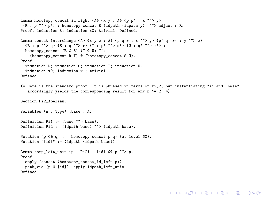```
Lemma homotopy concat id right {A} {x y : A} {p p' : x ~ ~ ~ \vee y}
 (R : p \nightharpoonup p'): homotopy_concat R (idpath (idpath y)) \sim > adjust_r R.
Proof. induction R; induction x0; trivial. Defined.
Lemma concat_interchange {A} {x y z : A} {p q r : x \tilde{f} y } {p' q' r' : y \tilde{f} > z}
  {R : p \nightharpoonup^* > q} {S : q \nightharpoonup^* > r} {T : p' \nightharpoonup^* > q'} {U : q' \nightharpoonup^* > r'} :
  homotopy concat (R \circ S) (T \circ U) \sim \sim >
    (homotopy_concat R T) @ (homotopy_concat S U).
Proof.
  induction R; induction S; induction T; induction U.
  induction x0; induction x1; trivial.
Defined.
(* Here is the standard proof. It is phrased in terms of Pi_2, but instantiating "A" and "base"
   accordingly yields the corresponding result for any n \ge 2. *)
Section Pi2_Abelian.
Variables (A : Type) (base : A).
Definition P11 := (base " > base).Definition Pi2 := (idpath base) ~~ > (idpath base).
Notation "p @Q q" := (homotopy concat p q) (at level 60).
Notation "\left[\text{id}\right]" := (idpath (idpath base)).
Lemma comp left unit {p : Pi2} : [id] @@ p \tilde{} \tilde{} p.
Proof.
  apply (concat (homotopy_concat_id_left p)).
 path via (p @ [id]); apply idpath left unit.
Defined.
```
**KORK ERKER ER AGA**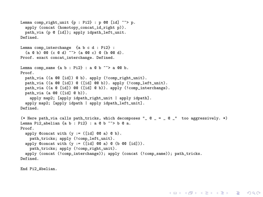```
Lemma comp_right_unit {p : Pi2} : p @ [id] \rightarrow > p.apply (concat (homotopy_concat_id_right p)).
  path_via (p @ [id]); apply idpath_left_unit.
Defined.
Lemma comp_interchange {a b c d : Pi2} :
  (a \otimes b) \otimes (c \otimes d) \rightarrow \infty (a \otimes c) \otimes (b \otimes d).
Proof. exact concat_interchange. Defined.
Lemma comp_same {a} b : Pi2} : a @ b ~ ~ \sim a @@ b.
Proof.
  path_via ((a @@ [id]) @ b). apply (!comp_right_unit).
  path via ((a @@ [id]) @ ([id] @@ b)). apply (!comp_left_unit).
  path_via ((a @ [id]) @@ ([id] @ b)). apply (!comp_interchange).
  path_via (a @@ ([id] @ b)).
    apply map2; [apply idpath_right_unit | apply idpath].
  apply map2; [apply idpath | apply idpath left unit].
Defined.
(* Here path via calls path tricks, which decomposes "@ = @ " too aggressively. *)
Lemma Pi2_abelian {a b : Pi2} : a @ b ~~> b @ a.
Proof.
  apply @concat with (y := (fid 0@ a) @ b).
    path_tricks; apply (!comp_left_unit).
  apply @concat with (y := (fid \otimes a) \otimes (b \otimes c \otimes fid))).
    path_tricks; apply (!comp_right_unit).
  apply (concat (!comp_interchange)); apply (concat (!comp_same)); path_tricks.
Defined.
```
**KORK ERKER ER AGA** 

End Pi2\_Abelian.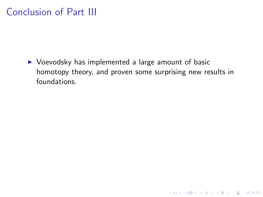### Conclusion of Part III

 $\triangleright$  Voevodsky has implemented a large amount of basic homotopy theory, and proven some surprising new results in foundations.

K ロ ▶ K @ ▶ K 할 ▶ K 할 ▶ ... 할 → 9 Q @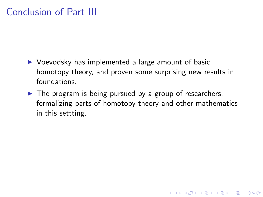## Conclusion of Part III

- $\triangleright$  Voevodsky has implemented a large amount of basic homotopy theory, and proven some surprising new results in foundations.
- $\triangleright$  The program is being pursued by a group of researchers, formalizing parts of homotopy theory and other mathematics in this settting.

**KOD KARD KED KED E VOOR**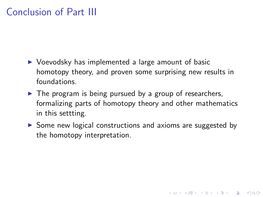# Conclusion of Part III

- $\triangleright$  Voevodsky has implemented a large amount of basic homotopy theory, and proven some surprising new results in foundations.
- $\triangleright$  The program is being pursued by a group of researchers, formalizing parts of homotopy theory and other mathematics in this settting.
- $\triangleright$  Some new logical constructions and axioms are suggested by the homotopy interpretation.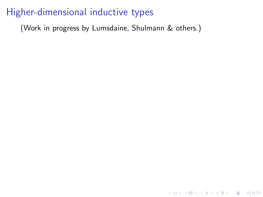(Work in progress by Lumsdaine, Shulmann & others.)

KO KKOK KEK KEK LE I DAG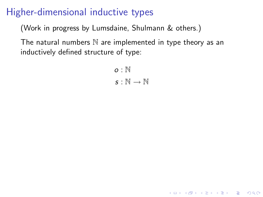(Work in progress by Lumsdaine, Shulmann & others.)

The natural numbers  $\mathbb N$  are implemented in type theory as an inductively defined structure of type:

> $\alpha$  : N  $s : \mathbb{N} \to \mathbb{N}$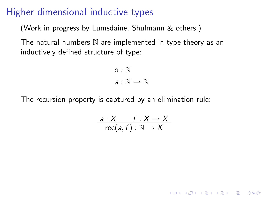(Work in progress by Lumsdaine, Shulmann & others.)

The natural numbers  $\mathbb N$  are implemented in type theory as an inductively defined structure of type:

> $\alpha$  : N  $s : \mathbb{N} \to \mathbb{N}$

The recursion property is captured by an elimination rule:

$$
\frac{a:X \qquad f:X\to X}{\mathsf{rec}(a,f):\mathbb{N}\to X}
$$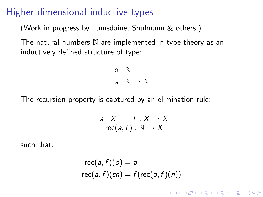(Work in progress by Lumsdaine, Shulmann & others.)

The natural numbers  $\mathbb N$  are implemented in type theory as an inductively defined structure of type:

> $\alpha$  : N  $\mathsf{S}:\mathbb{N}\to\mathbb{N}$

The recursion property is captured by an elimination rule:

$$
\frac{a:X \qquad f:X\to X}{\mathsf{rec}(a,f):\mathbb{N}\to X}
$$

such that:

$$
\text{rec}(a, f)(o) = a
$$
  

$$
\text{rec}(a, f)(sn) = f(\text{rec}(a, f)(n))
$$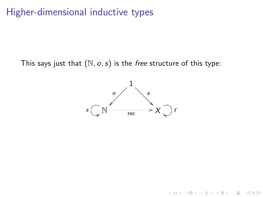This says just that  $(N, o, s)$  is the free structure of this type:



K ロ ▶ K @ ▶ K 할 ▶ K 할 ▶ 이 할 → 9 Q @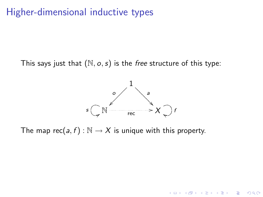This says just that  $(N, o, s)$  is the free structure of this type:



**KORK ERKER ADE YOUR** 

The map rec(a, f) :  $\mathbb{N} \to X$  is unique with this property.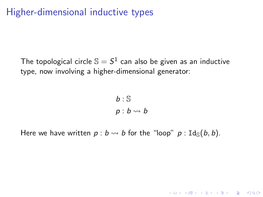The topological circle  $\mathbb{S} = S^1$  can also be given as an inductive type, now involving a higher-dimensional generator:

> $b : S$  $p : b \leadsto b$

> > **K ロ ▶ K @ ▶ K 할 X X 할 X 및 할 X X Q Q O**

Here we have written  $p : b \leadsto b$  for the "loop"  $p : \text{Id}_{\mathbb{S}}(b, b)$ .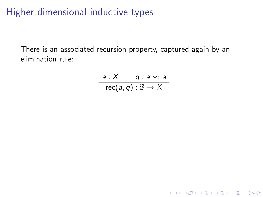There is an associated recursion property, captured again by an elimination rule:

$$
\frac{a:X \quad q:a\rightsquigarrow a}{\text{rec}(a,q):\mathbb{S}\rightarrow X}
$$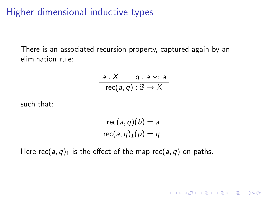There is an associated recursion property, captured again by an elimination rule:

$$
\frac{a:X \quad q:a \rightsquigarrow a}{\text{rec}(a,q) : \mathbb{S} \rightarrow X}
$$

such that:

$$
\operatorname{rec}(a,q)(b) = a
$$
  

$$
\operatorname{rec}(a,q)_1(p) = q
$$

**K ロ ▶ K @ ▶ K 할 X X 할 X → 할 X → 9 Q Q ^** 

Here rec(a, q)<sub>1</sub> is the effect of the map rec(a, q) on paths.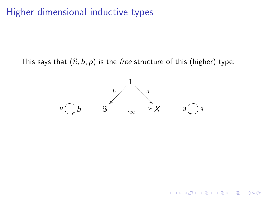This says that  $(S, b, p)$  is the free structure of this (higher) type:



K ロ ▶ K @ ▶ K 할 ▶ K 할 ▶ 이 할 → 9 Q @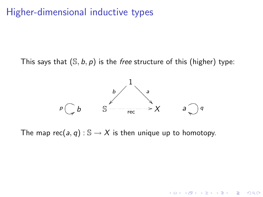This says that  $(S, b, p)$  is the free structure of this (higher) type:



**K ロ ▶ K @ ▶ K 할 X X 할 X → 할 X → 9 Q Q ^** 

The map rec(a, q) :  $\mathbb{S} \to X$  is then unique up to homotopy.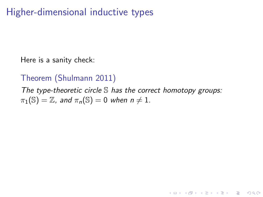Here is a sanity check:

#### Theorem (Shulmann 2011)

The type-theoretic circle  $S$  has the correct homotopy groups:  $\pi_1(\mathbb{S}) = \mathbb{Z}$ , and  $\pi_n(\mathbb{S}) = 0$  when  $n \neq 1$ .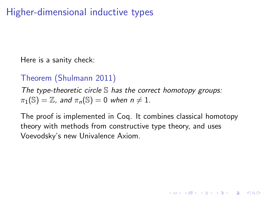Here is a sanity check:

#### Theorem (Shulmann 2011)

The type-theoretic circle  $S$  has the correct homotopy groups:  $\pi_1(\mathbb{S}) = \mathbb{Z}$ , and  $\pi_n(\mathbb{S}) = 0$  when  $n \neq 1$ .

The proof is implemented in Coq. It combines classical homotopy theory with methods from constructive type theory, and uses Voevodsky's new Univalence Axiom.

**KORKAR KERKER E VOOR**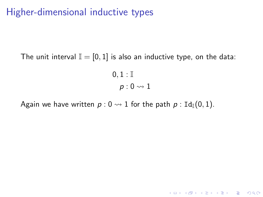The unit interval  $\mathbb{I} = [0, 1]$  is also an inductive type, on the data:

 $0, 1 : I$  $p: 0 \rightarrow 1$ 

Again we have written  $p : 0 \rightarrow 1$  for the path  $p : \text{Id}_{\mathbb{I}}(0, 1)$ .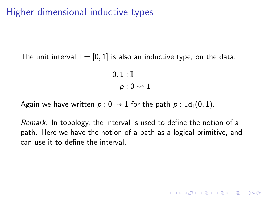The unit interval  $\mathbb{I} = [0, 1]$  is also an inductive type, on the data:

 $0, 1 : I$  $p: 0 \rightarrow 1$ 

Again we have written  $p : 0 \rightarrow 1$  for the path  $p : \text{Id}_{\mathbb{I}}(0, 1)$ .

Remark. In topology, the interval is used to define the notion of a path. Here we have the notion of a path as a logical primitive, and can use it to define the interval.

**KORKAR KERKER E VOOR**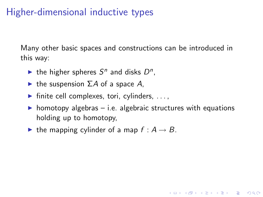Many other basic spaces and constructions can be introduced in this way:

- ightharpoonup the higher spheres  $S^n$  and disks  $D^n$ ,
- $\blacktriangleright$  the suspension  $\Sigma A$  of a space A,
- $\blacktriangleright$  finite cell complexes, tori, cylinders, ...,
- $\triangleright$  homotopy algebras i.e. algebraic structures with equations holding up to homotopy,

**KORK ERKER ADE YOUR** 

In the mapping cylinder of a map  $f : A \rightarrow B$ .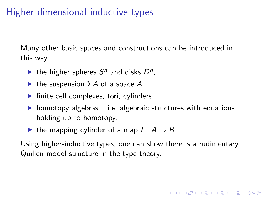Many other basic spaces and constructions can be introduced in this way:

- ightharpoonup the higher spheres  $S^n$  and disks  $D^n$ ,
- $\blacktriangleright$  the suspension  $\Sigma A$  of a space A,
- $\blacktriangleright$  finite cell complexes, tori, cylinders, ...,
- $\triangleright$  homotopy algebras i.e. algebraic structures with equations holding up to homotopy,
- In the mapping cylinder of a map  $f : A \rightarrow B$ .

Using higher-inductive types, one can show there is a rudimentary Quillen model structure in the type theory.

**K ロ ▶ K @ ▶ K 할 X X 할 X → 할 X → 9 Q Q ^**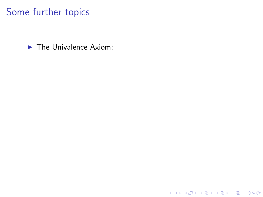### Some further topics

 $\blacktriangleright$  The Univalence Axiom:

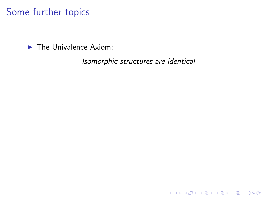$\blacktriangleright$  The Univalence Axiom:

Isomorphic structures are identical.

K ロ ▶ K @ ▶ K 할 ▶ K 할 ▶ | 할 | ⊙Q @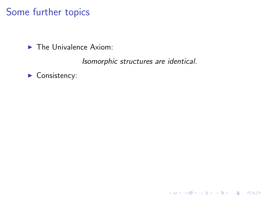$\blacktriangleright$  The Univalence Axiom:

Isomorphic structures are identical.

K ロ ▶ K @ ▶ K 할 ▶ K 할 ▶ | 할 | © 9 Q @

 $\blacktriangleright$  Consistency: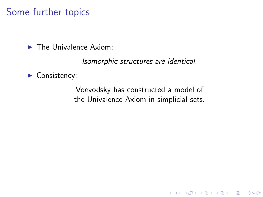$\blacktriangleright$  The Univalence Axiom:

Isomorphic structures are identical.

#### $\blacktriangleright$  Consistency:

Voevodsky has constructed a model of the Univalence Axiom in simplicial sets.

K ロ ▶ K @ ▶ K 할 > K 할 > 1 할 > 1 이익어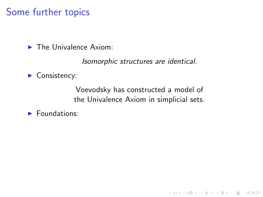$\blacktriangleright$  The Univalence Axiom:

Isomorphic structures are identical.

 $\blacktriangleright$  Consistency:

Voevodsky has constructed a model of the Univalence Axiom in simplicial sets.

K ロ ▶ K @ ▶ K 할 > K 할 > 1 할 > 1 이익어

 $\blacktriangleright$  Foundations: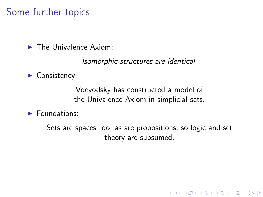$\blacktriangleright$  The Univalence Axiom:

Isomorphic structures are identical.

 $\blacktriangleright$  Consistency:

Voevodsky has constructed a model of the Univalence Axiom in simplicial sets.

 $\blacktriangleright$  Foundations:

Sets are spaces too, as are propositions, so logic and set theory are subsumed.

K ロ ▶ K @ ▶ K 할 > K 할 > 1 할 > 1 이익어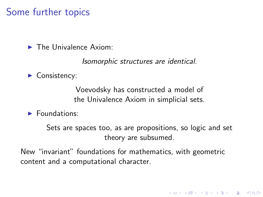$\blacktriangleright$  The Univalence Axiom:

Isomorphic structures are identical.

 $\blacktriangleright$  Consistency:

Voevodsky has constructed a model of the Univalence Axiom in simplicial sets.

 $\blacktriangleright$  Foundations:

Sets are spaces too, as are propositions, so logic and set theory are subsumed.

**KORK ERKER ADE YOUR** 

New "invariant" foundations for mathematics, with geometric content and a computational character.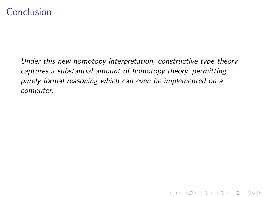## **Conclusion**

Under this new homotopy interpretation, constructive type theory captures a substantial amount of homotopy theory, permitting purely formal reasoning which can even be implemented on a computer.

**KOD KARD KED KED E VOOR**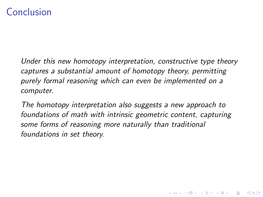# Conclusion

Under this new homotopy interpretation, constructive type theory captures a substantial amount of homotopy theory, permitting purely formal reasoning which can even be implemented on a computer.

The homotopy interpretation also suggests a new approach to foundations of math with intrinsic geometric content, capturing some forms of reasoning more naturally than traditional foundations in set theory.

**KOD KARD KED KED E VOOR**